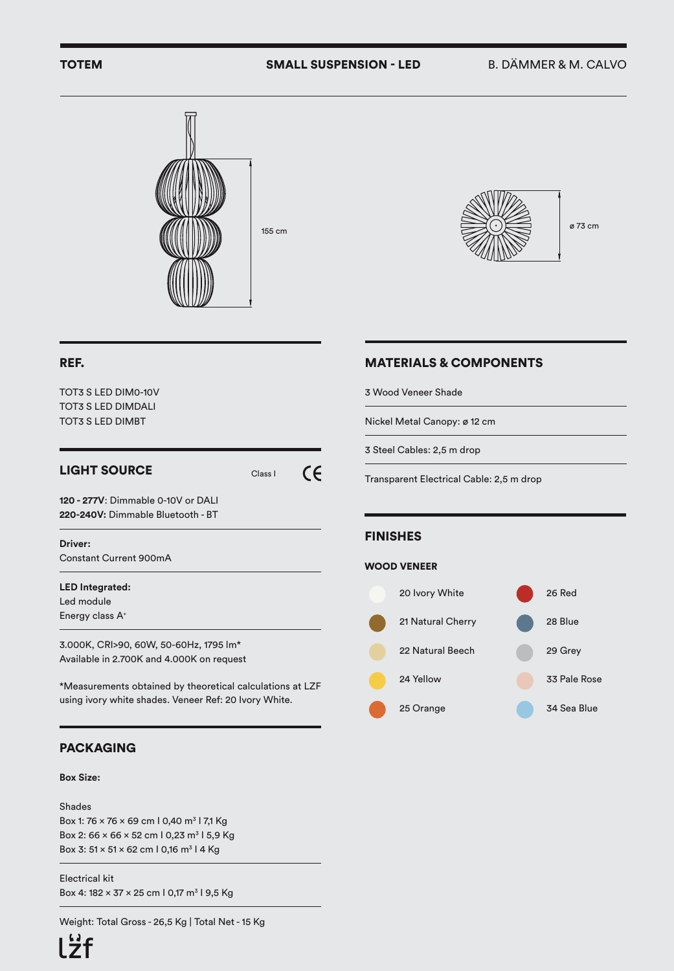# TOTEM SMALL SUSPENSION - LED B. DÄMMER & M. CALVO





## MATERIALS & COMPONENTS

3 Wood Veneer Shade

Nickel Metal Canopy: ø 12 cm

3 Steel Cables: 2,5 m drop

Transparent Electrical Cable: 2,5 m drop

### FINISHES

#### WOOD VENEER



#### REF.

TOT3 S LED DIM0-10V TOT3 S LED DIMDALI TOT3 S LED DIMBT

# LIGHT SOURCE Class I

 $\epsilon$ 

**120 - 277V**: Dimmable 0-10V or DALI **220-240V:** Dimmable Bluetooth - BT

#### **Driver:**

Constant Current 900mA

# **LED Integrated:**

Led module Energy class A+

3.000K, CRI>90, 60W, 50-60Hz, 1795 lm\* Available in 2.700K and 4.000K on request

\*Measurements obtained by theoretical calculations at LZF using ivory white shades. Veneer Ref: 20 Ivory White.

## PACKAGING

## **Box Size:**

Shades Box 1: 76 × 76 × 69 cm l 0,40 m<sup>3</sup> l 7,1 Kg Box 2:  $66 \times 66 \times 52$  cm 1 0,23 m<sup>3</sup> 1 5,9 Kg Box 3:  $51 \times 51 \times 62$  cm 1 0,16 m<sup>3</sup> 1 4 Kg

Electrical kit Box 4:  $182 \times 37 \times 25$  cm | 0,17 m<sup>3</sup> | 9,5 Kg

Weight: Total Gross - 26,5 Kg | Total Net - 15 Kg